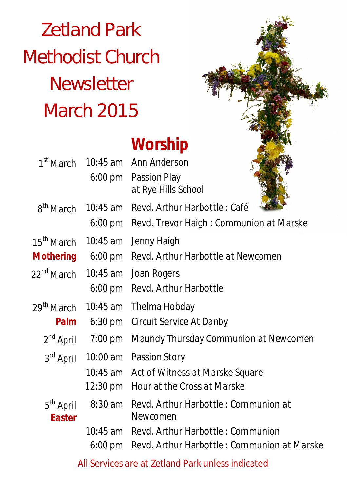# Zetland Park Methodist Church **Newsletter** March 2015

# **Worship**

| 1 <sup>st</sup> March                |                   | 10:45 am Ann Anderson                       |
|--------------------------------------|-------------------|---------------------------------------------|
|                                      |                   | 6:00 pm Passion Play<br>at Rye Hills School |
| 8 <sup>th</sup> March                | 10:45 am          | Revd. Arthur Harbottle: Café                |
|                                      | 6:00 pm           | Revd. Trevor Haigh: Communion at Marske     |
| 15 <sup>th</sup> March<br>$10:45$ am |                   | Jenny Haigh                                 |
| <b>Mothering</b>                     | $6:00$ pm         | Revd. Arthur Harbottle at Newcomen          |
| 22 <sup>nd</sup> March               | 10:45 am          | Joan Rogers                                 |
|                                      | 6:00 pm           | Revd. Arthur Harbottle                      |
| 29 <sup>th</sup> March               | 10:45 am          | Thelma Hobday                               |
| Palm                                 | $6:30 \text{ pm}$ | Circuit Service At Danby                    |
| $2^{nd}$ April                       | $7:00$ pm         | Maundy Thursday Communion at Newcomen       |
| 3rd April                            | 10:00 am          | Passion Story                               |
|                                      | 10:45 am          | Act of Witness at Marske Square             |
|                                      | 12:30 pm          | Hour at the Cross at Marske                 |
| 5 <sup>th</sup> April                | 8:30 am           | Revd. Arthur Harbottle: Communion at        |
| <b>Easter</b>                        |                   | Newcomen                                    |
|                                      |                   | 10:45 am Revd. Arthur Harbottle: Communion  |
|                                      | $6:00 \text{ pm}$ | Revd. Arthur Harbottle: Communion at Marske |
|                                      |                   |                                             |

All Services are at Zetland Park unless indicated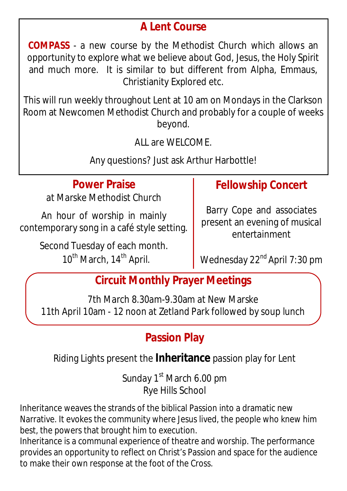#### **A Lent Course**

**COMPASS** - a new course by the Methodist Church which allows an opportunity to explore what we believe about God, Jesus, the Holy Spirit and much more. It is similar to but different from Alpha, Emmaus, Christianity Explored etc.

This will run weekly throughout Lent at 10 am on Mondays in the Clarkson Room at Newcomen Methodist Church and probably for a couple of weeks beyond.

ALL are WELCOME.

Any questions? Just ask Arthur Harbottle!

#### **Power Praise**

at Marske Methodist Church

An hour of worship in mainly contemporary song in a café style setting.

> Second Tuesday of each month. 10<sup>th</sup> March, 14<sup>th</sup> April.

#### **Fellowship Concert**

Barry Cope and associates present an evening of musical entertainment

Wednesday 22<sup>nd</sup> April 7:30 pm

#### **Circuit Monthly Prayer Meetings**

7th March 8.30am-9.30am at New Marske 11th April 10am - 12 noon at Zetland Park followed by soup lunch

#### **Passion Play**

#### Riding Lights present the **Inheritance** passion play for Lent

Sunday 1<sup>st</sup> March 6.00 pm Rye Hills School

Inheritance weaves the strands of the biblical Passion into a dramatic new Narrative. It evokes the community where Jesus lived, the people who knew him best, the powers that brought him to execution.

Inheritance is a communal experience of theatre and worship. The performance provides an opportunity to reflect on Christ's Passion and space for the audience to make their own response at the foot of the Cross.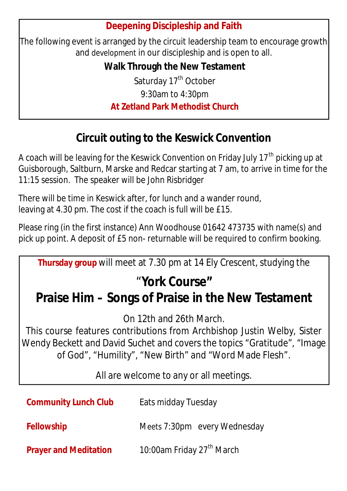#### **Deepening Discipleship and Faith**

The following event is arranged by the circuit leadership team to encourage growth and development in our discipleship and is open to all.

> **Walk Through the New Testament** Saturday 17<sup>th</sup> October

> > 9:30am to 4:30pm

#### **At Zetland Park Methodist Church**

### **Circuit outing to the Keswick Convention**

A coach will be leaving for the Keswick Convention on Friday July 17<sup>th</sup> picking up at Guisborough, Saltburn, Marske and Redcar starting at 7 am, to arrive in time for the 11:15 session. The speaker will be John Risbridger

There will be time in Keswick after, for lunch and a wander round, leaving at 4.30 pm. The cost if the coach is full will be £15.

Please ring (in the first instance) Ann Woodhouse 01642 473735 with name(s) and pick up point. A deposit of £5 non- returnable will be required to confirm booking.

**Thursday group** will meet at 7.30 pm at 14 Ely Crescent, studying the

# "**York Course"**

## **Praise Him – Songs of Praise in the New Testament**

On 12th and 26th March.

This course features contributions from Archbishop Justin Welby, Sister Wendy Beckett and David Suchet and covers the topics "Gratitude", "Image of God", "Humility", "New Birth" and "Word Made Flesh".

All are welcome to any or all meetings.

| <b>Community Lunch Club</b>  | Eats midday Tuesday                   |
|------------------------------|---------------------------------------|
| <b>Fellowship</b>            | Meets 7:30pm every Wednesday          |
| <b>Prayer and Meditation</b> | 10:00am Friday 27 <sup>th</sup> March |